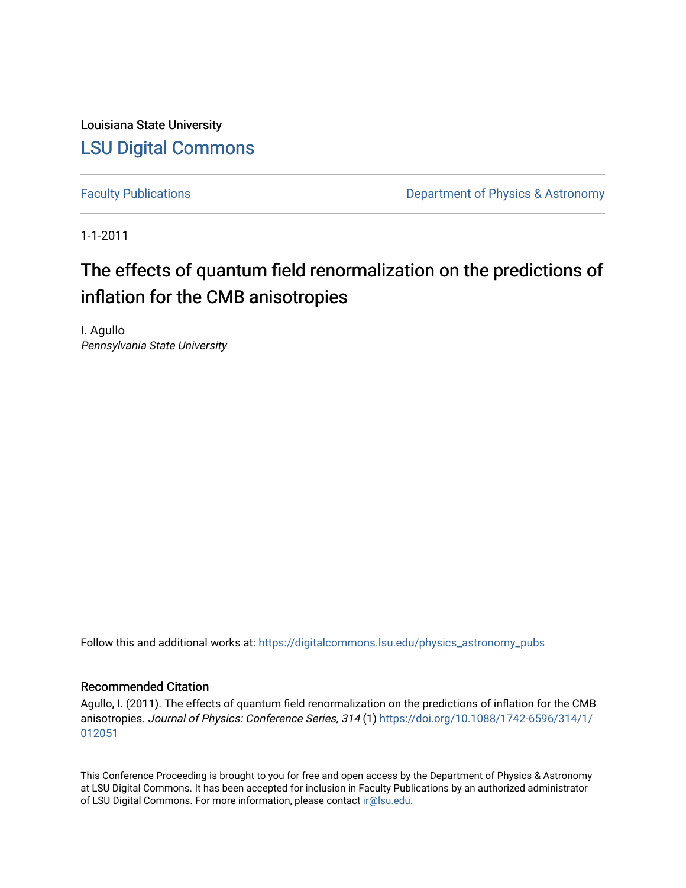Louisiana State University [LSU Digital Commons](https://digitalcommons.lsu.edu/)

[Faculty Publications](https://digitalcommons.lsu.edu/physics_astronomy_pubs) **Exercise 2 and Table 2 and Table 2 and Table 2 and Table 2 and Table 2 and Table 2 and Table 2 and Table 2 and Table 2 and Table 2 and Table 2 and Table 2 and Table 2 and Table 2 and Table 2 and Table** 

1-1-2011

## The effects of quantum field renormalization on the predictions of inflation for the CMB anisotropies

I. Agullo Pennsylvania State University

Follow this and additional works at: [https://digitalcommons.lsu.edu/physics\\_astronomy\\_pubs](https://digitalcommons.lsu.edu/physics_astronomy_pubs?utm_source=digitalcommons.lsu.edu%2Fphysics_astronomy_pubs%2F185&utm_medium=PDF&utm_campaign=PDFCoverPages) 

### Recommended Citation

Agullo, I. (2011). The effects of quantum field renormalization on the predictions of inflation for the CMB anisotropies. Journal of Physics: Conference Series, 314 (1) [https://doi.org/10.1088/1742-6596/314/1/](https://doi.org/10.1088/1742-6596/314/1/012051) [012051](https://doi.org/10.1088/1742-6596/314/1/012051) 

This Conference Proceeding is brought to you for free and open access by the Department of Physics & Astronomy at LSU Digital Commons. It has been accepted for inclusion in Faculty Publications by an authorized administrator of LSU Digital Commons. For more information, please contact [ir@lsu.edu](mailto:ir@lsu.edu).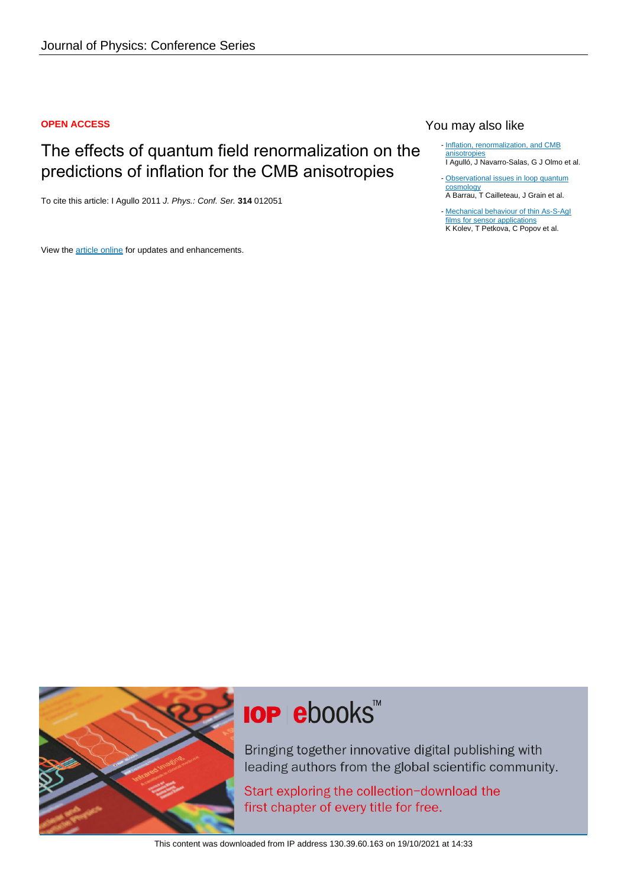### **OPEN ACCESS**

### The effects of quantum field renormalization on the predictions of inflation for the CMB anisotropies

To cite this article: I Agullo 2011 J. Phys.: Conf. Ser. **314** 012051

View the [article online](https://doi.org/10.1088/1742-6596/314/1/012051) for updates and enhancements.

### You may also like

- [Inflation, renormalization, and CMB](/article/10.1088/1742-6596/229/1/012058) [anisotropies](/article/10.1088/1742-6596/229/1/012058) I Agulló, J Navarro-Salas, G J Olmo et al.
- [Observational issues in loop quantum](/article/10.1088/0264-9381/31/5/053001) **[cosmology](/article/10.1088/0264-9381/31/5/053001)** A Barrau, T Cailleteau, J Grain et al.
- Mechanical behaviour of thin As-S-Agl [films for sensor applications](/article/10.1088/1742-6596/113/1/012024) K Kolev, T Petkova, C Popov et al.



# **IOP ebooks™**

Bringing together innovative digital publishing with leading authors from the global scientific community.

Start exploring the collection-download the first chapter of every title for free.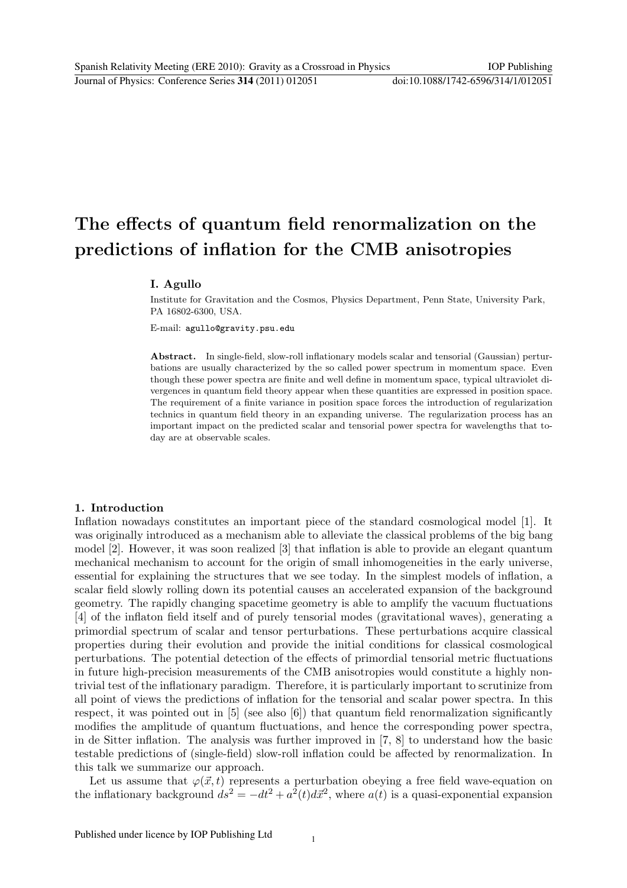## The effects of quantum field renormalization on the predictions of inflation for the CMB anisotropies

### I. Agullo

Institute for Gravitation and the Cosmos, Physics Department, Penn State, University Park, PA 16802-6300, USA.

E-mail: agullo@gravity.psu.edu

Abstract. In single-field, slow-roll inflationary models scalar and tensorial (Gaussian) perturbations are usually characterized by the so called power spectrum in momentum space. Even though these power spectra are finite and well define in momentum space, typical ultraviolet divergences in quantum field theory appear when these quantities are expressed in position space. The requirement of a finite variance in position space forces the introduction of regularization technics in quantum field theory in an expanding universe. The regularization process has an important impact on the predicted scalar and tensorial power spectra for wavelengths that today are at observable scales.

#### 1. Introduction

Inflation nowadays constitutes an important piece of the standard cosmological model [1]. It was originally introduced as a mechanism able to alleviate the classical problems of the big bang model [2]. However, it was soon realized [3] that inflation is able to provide an elegant quantum mechanical mechanism to account for the origin of small inhomogeneities in the early universe, essential for explaining the structures that we see today. In the simplest models of inflation, a scalar field slowly rolling down its potential causes an accelerated expansion of the background geometry. The rapidly changing spacetime geometry is able to amplify the vacuum fluctuations [4] of the inflaton field itself and of purely tensorial modes (gravitational waves), generating a primordial spectrum of scalar and tensor perturbations. These perturbations acquire classical properties during their evolution and provide the initial conditions for classical cosmological perturbations. The potential detection of the effects of primordial tensorial metric fluctuations in future high-precision measurements of the CMB anisotropies would constitute a highly nontrivial test of the inflationary paradigm. Therefore, it is particularly important to scrutinize from all point of views the predictions of inflation for the tensorial and scalar power spectra. In this respect, it was pointed out in [5] (see also [6]) that quantum field renormalization significantly modifies the amplitude of quantum fluctuations, and hence the corresponding power spectra, in de Sitter inflation. The analysis was further improved in [7, 8] to understand how the basic testable predictions of (single-field) slow-roll inflation could be affected by renormalization. In this talk we summarize our approach.

Let us assume that  $\varphi(\vec{x}, t)$  represents a perturbation obeying a free field wave-equation on the inflationary background  $ds^2 = -dt^2 + a^2(t) d\vec{x}^2$ , where  $a(t)$  is a quasi-exponential expansion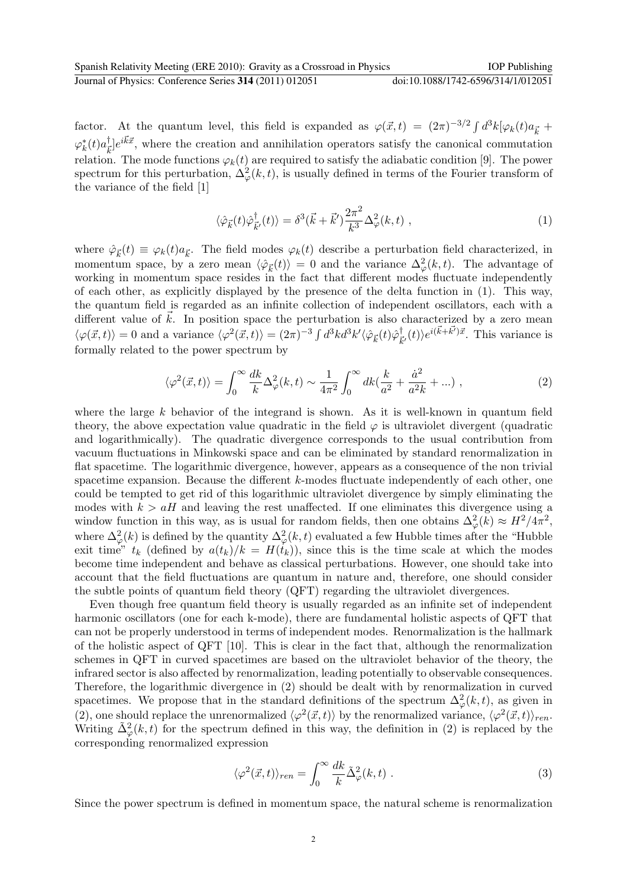factor. At the quantum level, this field is expanded as  $\varphi(\vec{x},t) = (2\pi)^{-3/2} \int d^3k [\varphi_k(t) a_{\vec{k}} +$  $\varphi_k^\ast(t) a_{\bar{k}}^\dagger$  $\vec{k}$ ] $e^{i\vec{k}\vec{x}}$ , where the creation and annihilation operators satisfy the canonical commutation relation. The mode functions  $\varphi_k(t)$  are required to satisfy the adiabatic condition [9]. The power spectrum for this perturbation,  $\Delta_{\varphi}^{2}(k,t)$ , is usually defined in terms of the Fourier transform of the variance of the field [1]

$$
\langle \hat{\varphi}_{\vec{k}}(t)\hat{\varphi}_{\vec{k}'}^{\dagger}(t)\rangle = \delta^3(\vec{k} + \vec{k}')\frac{2\pi^2}{k^3} \Delta_{\varphi}^2(k, t) , \qquad (1)
$$

where  $\hat{\varphi}_{\vec{k}}(t) \equiv \varphi_k(t) a_{\vec{k}}$ . The field modes  $\varphi_k(t)$  describe a perturbation field characterized, in momentum space, by a zero mean  $\langle \hat{\varphi}_{\vec{k}}(t) \rangle = 0$  and the variance  $\Delta_{\varphi}^2(k,t)$ . The advantage of working in momentum space resides in the fact that different modes fluctuate independently of each other, as explicitly displayed by the presence of the delta function in (1). This way, the quantum field is regarded as an infinite collection of independent oscillators, each with a different value of  $\vec{k}$ . In position space the perturbation is also characterized by a zero mean  $\langle \varphi(\vec{x},t)\rangle = 0$  and a variance  $\langle \varphi^2(\vec{x},t)\rangle = (2\pi)^{-3} \int d^3k d^3k' \langle \hat{\varphi}_{\vec{k}}(t)\hat{\varphi}_{\vec{k}}^{\dagger}$  $\vec{k}$ <sub>i</sub> $(t)$ ) $e^{i(\vec{k}+\vec{k'})\vec{x}}$ . This variance is formally related to the power spectrum by

$$
\langle \varphi^2(\vec{x},t) \rangle = \int_0^\infty \frac{dk}{k} \Delta_\varphi^2(k,t) \sim \frac{1}{4\pi^2} \int_0^\infty dk \left( \frac{k}{a^2} + \frac{\dot{a}^2}{a^2 k} + \ldots \right) , \tag{2}
$$

where the large  $k$  behavior of the integrand is shown. As it is well-known in quantum field theory, the above expectation value quadratic in the field  $\varphi$  is ultraviolet divergent (quadratic and logarithmically). The quadratic divergence corresponds to the usual contribution from vacuum fluctuations in Minkowski space and can be eliminated by standard renormalization in flat spacetime. The logarithmic divergence, however, appears as a consequence of the non trivial spacetime expansion. Because the different  $k$ -modes fluctuate independently of each other, one could be tempted to get rid of this logarithmic ultraviolet divergence by simply eliminating the modes with  $k > aH$  and leaving the rest unaffected. If one eliminates this divergence using a window function in this way, as is usual for random fields, then one obtains  $\Delta_{\varphi}^2(k) \approx H^2/4\pi^2$ , where  $\Delta^2_{\varphi}(k)$  is defined by the quantity  $\Delta^2_{\varphi}(k,t)$  evaluated a few Hubble times after the "Hubble" exit time"  $t_k$  (defined by  $a(t_k)/k = H(t_k)$ ), since this is the time scale at which the modes become time independent and behave as classical perturbations. However, one should take into account that the field fluctuations are quantum in nature and, therefore, one should consider the subtle points of quantum field theory (QFT) regarding the ultraviolet divergences.

Even though free quantum field theory is usually regarded as an infinite set of independent harmonic oscillators (one for each k-mode), there are fundamental holistic aspects of QFT that can not be properly understood in terms of independent modes. Renormalization is the hallmark of the holistic aspect of QFT [10]. This is clear in the fact that, although the renormalization schemes in QFT in curved spacetimes are based on the ultraviolet behavior of the theory, the infrared sector is also affected by renormalization, leading potentially to observable consequences. Therefore, the logarithmic divergence in (2) should be dealt with by renormalization in curved spacetimes. We propose that in the standard definitions of the spectrum  $\Delta_{\varphi}^2(k,t)$ , as given in (2), one should replace the unrenormalized  $\langle \varphi^2(\vec{x},t) \rangle$  by the renormalized variance,  $\langle \varphi^2(\vec{x},t) \rangle_{ren}$ . Writing  $\tilde{\Delta}_{\varphi}^2(k,t)$  for the spectrum defined in this way, the definition in (2) is replaced by the corresponding renormalized expression

$$
\langle \varphi^2(\vec{x},t) \rangle_{ren} = \int_0^\infty \frac{dk}{k} \tilde{\Delta}_\varphi^2(k,t) \ . \tag{3}
$$

Since the power spectrum is defined in momentum space, the natural scheme is renormalization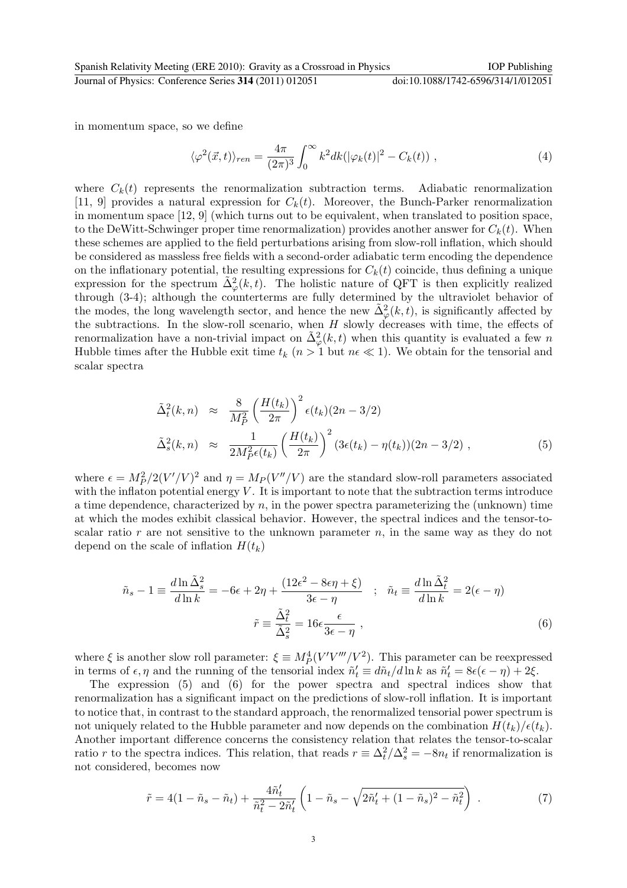Journal of Physics: Conference Series **314** (2011) 012051 doi:10.1088/1742-6596/314/1/012051

in momentum space, so we define

$$
\langle \varphi^2(\vec{x},t) \rangle_{ren} = \frac{4\pi}{(2\pi)^3} \int_0^\infty k^2 dk (|\varphi_k(t)|^2 - C_k(t)), \qquad (4)
$$

where  $C_k(t)$  represents the renormalization subtraction terms. Adiabatic renormalization [11, 9] provides a natural expression for  $C_k(t)$ . Moreover, the Bunch-Parker renormalization in momentum space [12, 9] (which turns out to be equivalent, when translated to position space, to the DeWitt-Schwinger proper time renormalization) provides another answer for  $C_k(t)$ . When these schemes are applied to the field perturbations arising from slow-roll inflation, which should be considered as massless free fields with a second-order adiabatic term encoding the dependence on the inflationary potential, the resulting expressions for  $C_k(t)$  coincide, thus defining a unique expression for the spectrum  $\tilde{\Delta}_{\varphi}^2(k,t)$ . The holistic nature of QFT is then explicitly realized through (3-4); although the counterterms are fully determined by the ultraviolet behavior of the modes, the long wavelength sector, and hence the new  $\tilde{\Delta}_{\varphi}^2(k,t)$ , is significantly affected by the subtractions. In the slow-roll scenario, when  $H$  slowly decreases with time, the effects of renormalization have a non-trivial impact on  $\tilde{\Delta}^2_{\varphi}(k,t)$  when this quantity is evaluated a few n Hubble times after the Hubble exit time  $t_k$  ( $n > 1$  but  $n \in \mathbb{R}$ ). We obtain for the tensorial and scalar spectra

$$
\tilde{\Delta}_t^2(k,n) \approx \frac{8}{M_P^2} \left(\frac{H(t_k)}{2\pi}\right)^2 \epsilon(t_k)(2n-3/2)
$$
\n
$$
\tilde{\Delta}_s^2(k,n) \approx \frac{1}{2M_P^2 \epsilon(t_k)} \left(\frac{H(t_k)}{2\pi}\right)^2 (3\epsilon(t_k) - \eta(t_k))(2n-3/2) ,\tag{5}
$$

where  $\epsilon = M_P^2/2(V'/V)^2$  and  $\eta = M_P(V''/V)$  are the standard slow-roll parameters associated with the inflaton potential energy  $V$ . It is important to note that the subtraction terms introduce a time dependence, characterized by  $n$ , in the power spectra parameterizing the (unknown) time at which the modes exhibit classical behavior. However, the spectral indices and the tensor-toscalar ratio r are not sensitive to the unknown parameter  $n$ , in the same way as they do not depend on the scale of inflation  $H(t_k)$ 

$$
\tilde{n}_s - 1 \equiv \frac{d \ln \tilde{\Delta}_s^2}{d \ln k} = -6\epsilon + 2\eta + \frac{(12\epsilon^2 - 8\epsilon\eta + \xi)}{3\epsilon - \eta} \quad ; \quad \tilde{n}_t \equiv \frac{d \ln \tilde{\Delta}_t^2}{d \ln k} = 2(\epsilon - \eta)
$$
\n
$$
\tilde{r} \equiv \frac{\tilde{\Delta}_t^2}{\tilde{\Delta}_s^2} = 16\epsilon \frac{\epsilon}{3\epsilon - \eta} \quad , \tag{6}
$$

where  $\xi$  is another slow roll parameter:  $\xi \equiv M_P^4 (V'V'''/V^2)$ . This parameter can be reexpressed in terms of  $\epsilon, \eta$  and the running of the tensorial index  $\tilde{n}'_t \equiv d\tilde{n}_t/d\ln k$  as  $\tilde{n}'_t = 8\epsilon(\epsilon - \eta) + 2\xi$ .

The expression (5) and (6) for the power spectra and spectral indices show that renormalization has a significant impact on the predictions of slow-roll inflation. It is important to notice that, in contrast to the standard approach, the renormalized tensorial power spectrum is not uniquely related to the Hubble parameter and now depends on the combination  $H(t_k)/\epsilon(t_k)$ . Another important difference concerns the consistency relation that relates the tensor-to-scalar ratio r to the spectra indices. This relation, that reads  $r \equiv \Delta_t^2/\Delta_s^2 = -8n_t$  if renormalization is not considered, becomes now

$$
\tilde{r} = 4(1 - \tilde{n}_s - \tilde{n}_t) + \frac{4\tilde{n}'_t}{\tilde{n}_t^2 - 2\tilde{n}'_t} \left(1 - \tilde{n}_s - \sqrt{2\tilde{n}'_t + (1 - \tilde{n}_s)^2 - \tilde{n}_t^2}\right) \,. \tag{7}
$$